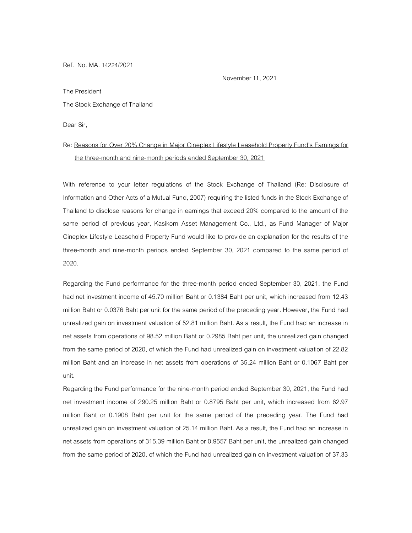Ref. No. MA. 14224/2021

November 11, 2021

The President

## The Stock Exchange of Thailand

Dear Sir,

## Re: Reasons for Over 20% Change in Major Cineplex Lifestyle Leasehold Property Fund's Earnings for the three-month and nine-month periods ended September 30, 2021

With reference to your letter regulations of the Stock Exchange of Thailand (Re: Disclosure of Information and Other Acts of a Mutual Fund, 2007) requiring the listed funds in the Stock Exchange of Thailand to disclose reasons for change in earnings that exceed 20% compared to the amount of the same period of previous year, Kasikorn Asset Management Co., Ltd., as Fund Manager of Major Cineplex Lifestyle Leasehold Property Fund would like to provide an explanation for the results of the three-month and nine-month periods ended September 30, 2021 compared to the same period of 2020.

Regarding the Fund performance for the three-month period ended September 30, 2021, the Fund had net investment income of 45.70 million Baht or 0.1384 Baht per unit, which increased from 12.43 million Baht or 0.0376 Baht per unit for the same period of the preceding year. However, the Fund had unrealized gain on investment valuation of 52.81 million Baht. As a result, the Fund had an increase in net assets from operations of 98.52 million Baht or 0.2985 Baht per unit, the unrealized gain changed from the same period of 2020, of which the Fund had unrealized gain on investment valuation of 22.82 million Baht and an increase in net assets from operations of 35.24 million Baht or 0.1067 Baht per unit.

Regarding the Fund performance for the nine-month period ended September 30, 2021, the Fund had net investment income of 290.25 million Baht or 0.8795 Baht per unit, which increased from 62.97 million Baht or 0.1908 Baht per unit for the same period of the preceding year. The Fund had unrealized gain on investment valuation of 25.14 million Baht. As a result, the Fund had an increase in net assets from operations of 315.39 million Baht or 0.9557 Baht per unit, the unrealized gain changed from the same period of 2020, of which the Fund had unrealized gain on investment valuation of 37.33